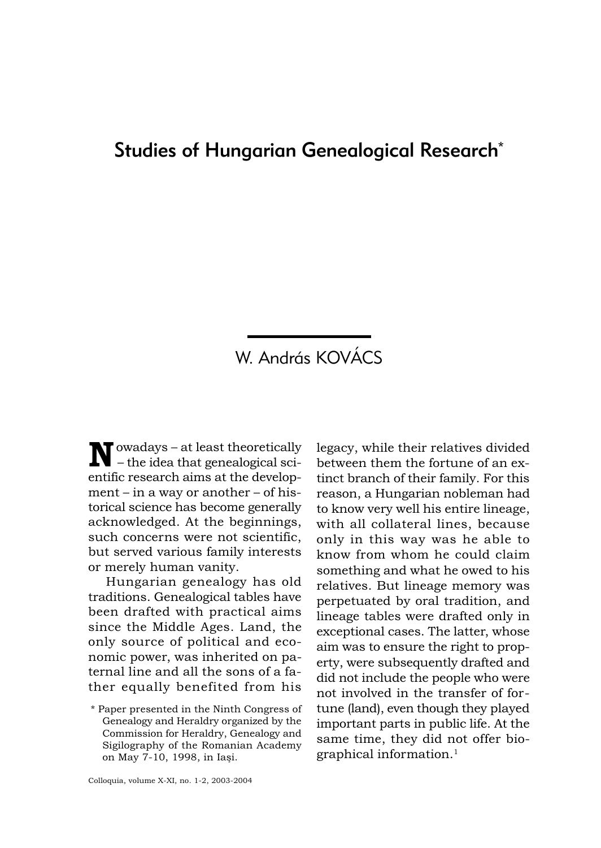## Studies of Hungarian Genealogical Research\*

## W. András KOVÁCS

 $\sum_{n=1}^{\infty} \frac{1}{n!} \int_{\mathbb{R}^n} \frac{1}{n!} \, dx \, dx \, dx$  $t$  – the idea that genealogical scientific research aims at the develop $ment - in a way or another - of his$ torical science has become generally acknowledged. At the beginnings, such concerns were not scientific, but served various family interests or merely human vanity.

Hungarian genealogy has old traditions. Genealogical tables have been drafted with practical aims since the Middle Ages. Land, the only source of political and economic power, was inherited on paternal line and all the sons of a father equally benefited from his

legacy, while their relatives divided between them the fortune of an extinct branch of their family. For this reason, a Hungarian nobleman had to know very well his entire lineage, with all collateral lines, because only in this way was he able to know from whom he could claim something and what he owed to his relatives. But lineage memory was perpetuated by oral tradition, and lineage tables were drafted only in exceptional cases. The latter, whose aim was to ensure the right to property, were subsequently drafted and did not include the people who were not involved in the transfer of fortune (land), even though they played important parts in public life. At the same time, they did not offer biographical information.1

<sup>\*</sup> Paper presented in the Ninth Congress of Genealogy and Heraldry organized by the Commission for Heraldry, Genealogy and Sigilography of the Romanian Academy on May 7-10, 1998, in Iaşi.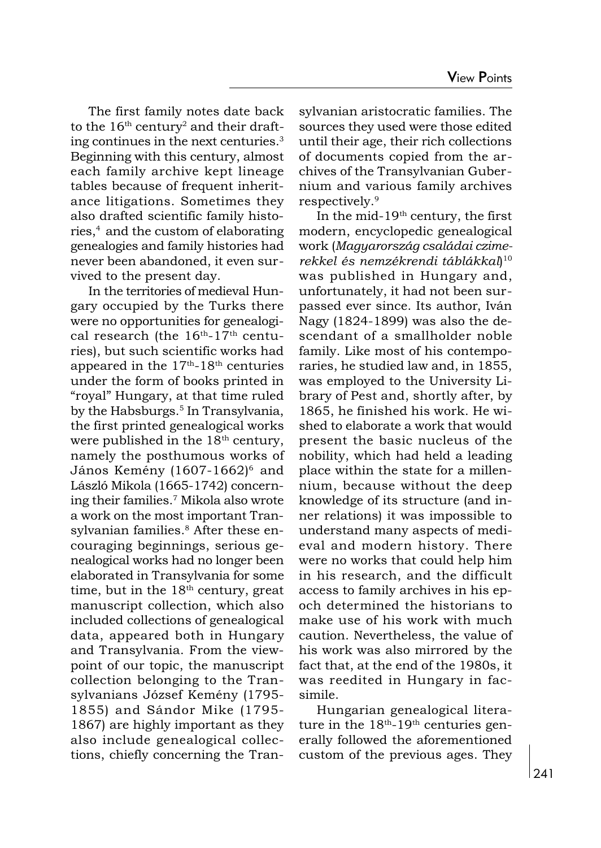The first family notes date back to the  $16<sup>th</sup>$  century<sup>2</sup> and their drafting continues in the next centuries.3 Beginning with this century, almost each family archive kept lineage tables because of frequent inheritance litigations. Sometimes they also drafted scientific family histories,<sup>4</sup> and the custom of elaborating genealogies and family histories had never been abandoned, it even survived to the present day.

In the territories of medieval Hungary occupied by the Turks there were no opportunities for genealogical research (the  $16<sup>th</sup>-17<sup>th</sup>$  centuries), but such scientific works had appeared in the  $17<sup>th</sup>$ -18<sup>th</sup> centuries under the form of books printed in "royal" Hungary, at that time ruled by the Habsburgs.<sup>5</sup> In Transylvania, the first printed genealogical works were published in the  $18<sup>th</sup>$  century, namely the posthumous works of János Kemény (1607-1662)<sup>6</sup> and László Mikola (1665-1742) concerning their families.7 Mikola also wrote a work on the most important Transylvanian families.<sup>8</sup> After these encouraging beginnings, serious genealogical works had no longer been elaborated in Transylvania for some time, but in the  $18<sup>th</sup>$  century, great manuscript collection, which also included collections of genealogical data, appeared both in Hungary and Transylvania. From the viewpoint of our topic, the manuscript collection belonging to the Transylvanians József Kemény (1795- 1855) and Sándor Mike (1795- 1867) are highly important as they also include genealogical collections, chiefly concerning the Transylvanian aristocratic families. The sources they used were those edited until their age, their rich collections of documents copied from the archives of the Transylvanian Gubernium and various family archives respectively.9

In the mid- $19<sup>th</sup>$  century, the first modern, encyclopedic genealogical work (Magyarország családai czimerekkel és nemzékrendi táblákkal) 10 was published in Hungary and, unfortunately, it had not been surpassed ever since. Its author, Iván Nagy (1824-1899) was also the descendant of a smallholder noble family. Like most of his contemporaries, he studied law and, in 1855, was employed to the University Library of Pest and, shortly after, by 1865, he finished his work. He wished to elaborate a work that would present the basic nucleus of the nobility, which had held a leading place within the state for a millennium, because without the deep knowledge of its structure (and inner relations) it was impossible to understand many aspects of medieval and modern history. There were no works that could help him in his research, and the difficult access to family archives in his epoch determined the historians to make use of his work with much caution. Nevertheless, the value of his work was also mirrored by the fact that, at the end of the 1980s, it was reedited in Hungary in facsimile.

Hungarian genealogical literature in the  $18<sup>th</sup>-19<sup>th</sup>$  centuries generally followed the aforementioned custom of the previous ages. They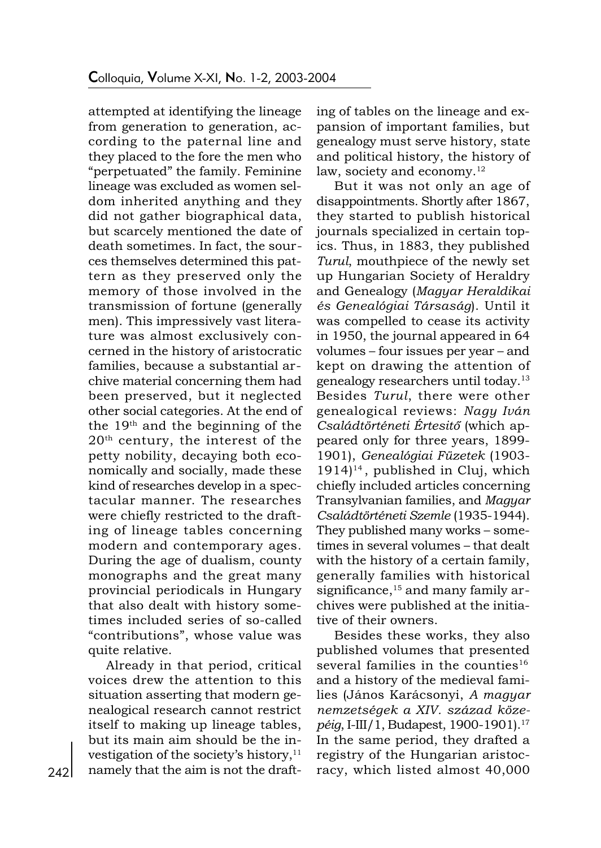attempted at identifying the lineage from generation to generation, according to the paternal line and they placed to the fore the men who "perpetuated" the family. Feminine lineage was excluded as women seldom inherited anything and they did not gather biographical data, but scarcely mentioned the date of death sometimes. In fact, the sources themselves determined this pattern as they preserved only the memory of those involved in the transmission of fortune (generally men). This impressively vast literature was almost exclusively concerned in the history of aristocratic families, because a substantial archive material concerning them had been preserved, but it neglected other social categories. At the end of the 19th and the beginning of the 20th century, the interest of the petty nobility, decaying both economically and socially, made these kind of researches develop in a spectacular manner. The researches were chiefly restricted to the drafting of lineage tables concerning modern and contemporary ages. During the age of dualism, county monographs and the great many provincial periodicals in Hungary that also dealt with history sometimes included series of so-called "contributions", whose value was quite relative.

Already in that period, critical voices drew the attention to this situation asserting that modern genealogical research cannot restrict itself to making up lineage tables, but its main aim should be the investigation of the society's history,<sup>11</sup> namely that the aim is not the drafting of tables on the lineage and expansion of important families, but genealogy must serve history, state and political history, the history of law, society and economy. $12$ 

But it was not only an age of disappointments. Shortly after 1867, they started to publish historical journals specialized in certain topics. Thus, in 1883, they published Turul, mouthpiece of the newly set up Hungarian Society of Heraldry and Genealogy (Magyar Heraldikai és Genealógiai Társaság). Until it was compelled to cease its activity in 1950, the journal appeared in 64 volumes – four issues per year – and kept on drawing the attention of genealogy researchers until today.13 Besides Turul, there were other genealogical reviews: Nagy Iván Családtörténeti Értesitø (which appeared only for three years, 1899- 1901), Genealógiai Füzetek (1903-  $1914$ <sup>14</sup>, published in Cluj, which chiefly included articles concerning Transylvanian families, and Magyar Családtörténeti Szemle (1935-1944). They published many works - sometimes in several volumes – that dealt with the history of a certain family, generally families with historical significance, $15$  and many family archives were published at the initiative of their owners.

Besides these works, they also published volumes that presented several families in the counties $16$ and a history of the medieval families (János Karácsonyi, A magyar nemzetségek a XIV. század közepéig, I-III/1, Budapest, 1900-1901).17 In the same period, they drafted a registry of the Hungarian aristocracy, which listed almost 40,000

242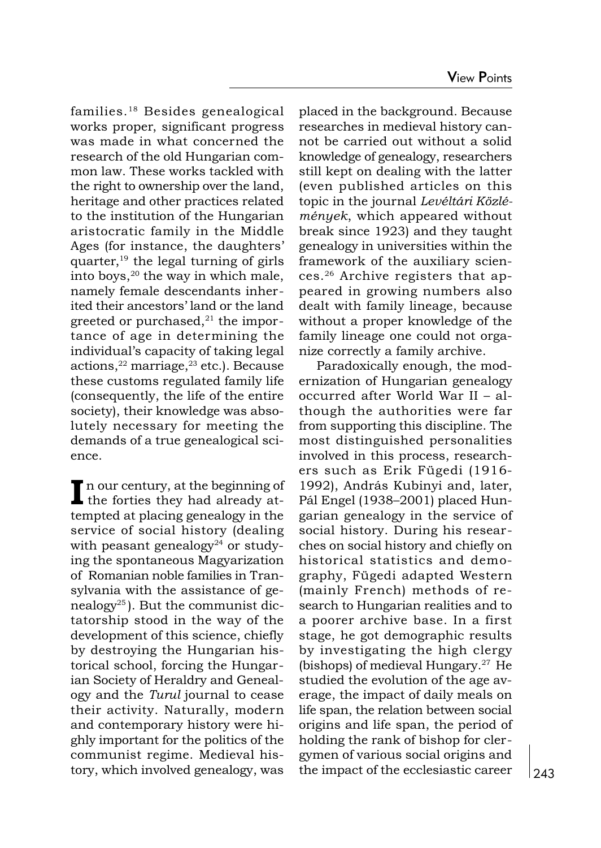families.18 Besides genealogical works proper, significant progress was made in what concerned the research of the old Hungarian common law. These works tackled with the right to ownership over the land, heritage and other practices related to the institution of the Hungarian aristocratic family in the Middle Ages (for instance, the daughters quarter, $19$  the legal turning of girls into boys, $20$  the way in which male, namely female descendants inherited their ancestors' land or the land greeted or purchased, $21$  the importance of age in determining the individual's capacity of taking legal actions, $22$  marriage, $23$  etc.). Because these customs regulated family life (consequently, the life of the entire society), their knowledge was absolutely necessary for meeting the demands of a true genealogical science.

In our century, at the beginning of the forties they had already attempted at placing genealogy in the service of social history (dealing with peasant genealogy<sup>24</sup> or studying the spontaneous Magyarization of Romanian noble families in Transylvania with the assistance of genealogy<sup>25</sup>). But the communist dictatorship stood in the way of the development of this science, chiefly by destroying the Hungarian historical school, forcing the Hungarian Society of Heraldry and Genealogy and the Turul journal to cease their activity. Naturally, modern and contemporary history were highly important for the politics of the communist regime. Medieval history, which involved genealogy, was

placed in the background. Because researches in medieval history cannot be carried out without a solid knowledge of genealogy, researchers still kept on dealing with the latter (even published articles on this topic in the journal Levéltári Közlémények, which appeared without break since 1923) and they taught genealogy in universities within the framework of the auxiliary sciences.26 Archive registers that appeared in growing numbers also dealt with family lineage, because without a proper knowledge of the family lineage one could not organize correctly a family archive.

Paradoxically enough, the modernization of Hungarian genealogy occurred after World War II - although the authorities were far from supporting this discipline. The most distinguished personalities involved in this process, researchers such as Erik Fügedi (1916- 1992), András Kubinyi and, later, Pál Engel (1938–2001) placed Hungarian genealogy in the service of social history. During his researches on social history and chiefly on historical statistics and demography, Fügedi adapted Western (mainly French) methods of research to Hungarian realities and to a poorer archive base. In a first stage, he got demographic results by investigating the high clergy (bishops) of medieval Hungary.<sup>27</sup> He studied the evolution of the age average, the impact of daily meals on life span, the relation between social origins and life span, the period of holding the rank of bishop for clergymen of various social origins and the impact of the ecclesiastic career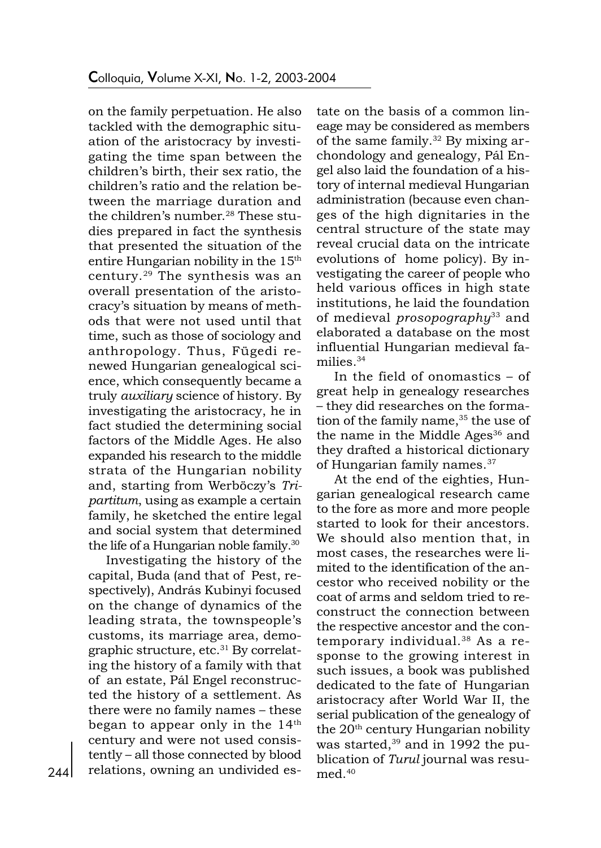on the family perpetuation. He also tackled with the demographic situation of the aristocracy by investigating the time span between the children's birth, their sex ratio, the children's ratio and the relation between the marriage duration and the children's number.<sup>28</sup> These studies prepared in fact the synthesis that presented the situation of the entire Hungarian nobility in the 15<sup>th</sup> century.29 The synthesis was an overall presentation of the aristocracy's situation by means of methods that were not used until that time, such as those of sociology and anthropology. Thus, Fügedi renewed Hungarian genealogical science, which consequently became a truly auxiliary science of history. By investigating the aristocracy, he in fact studied the determining social factors of the Middle Ages. He also expanded his research to the middle strata of the Hungarian nobility and, starting from Werböczy's Tripartitum, using as example a certain family, he sketched the entire legal and social system that determined the life of a Hungarian noble family.30

Investigating the history of the capital, Buda (and that of Pest, respectively), András Kubinyi focused on the change of dynamics of the leading strata, the townspeople's customs, its marriage area, demographic structure, etc.<sup>31</sup> By correlating the history of a family with that of an estate, Pál Engel reconstructed the history of a settlement. As there were no family names - these began to appear only in the  $14<sup>th</sup>$ century and were not used consistently - all those connected by blood relations, owning an undivided estate on the basis of a common lineage may be considered as members of the same family. $32$  By mixing archondology and genealogy, Pál Engel also laid the foundation of a history of internal medieval Hungarian administration (because even changes of the high dignitaries in the central structure of the state may reveal crucial data on the intricate evolutions of home policy). By investigating the career of people who held various offices in high state institutions, he laid the foundation of medieval *prosopography*<sup>33</sup> and elaborated a database on the most influential Hungarian medieval families $34$ 

In the field of onomastics  $-$  of great help in genealogy researches - they did researches on the formation of the family name, $35$  the use of the name in the Middle Ages<sup>36</sup> and they drafted a historical dictionary of Hungarian family names.<sup>37</sup>

At the end of the eighties, Hungarian genealogical research came to the fore as more and more people started to look for their ancestors. We should also mention that, in most cases, the researches were limited to the identification of the ancestor who received nobility or the coat of arms and seldom tried to reconstruct the connection between the respective ancestor and the contemporary individual.38 As a response to the growing interest in such issues, a book was published dedicated to the fate of Hungarian aristocracy after World War II, the serial publication of the genealogy of the 20<sup>th</sup> century Hungarian nobility was started, $39$  and in 1992 the publication of Turul journal was resumed.40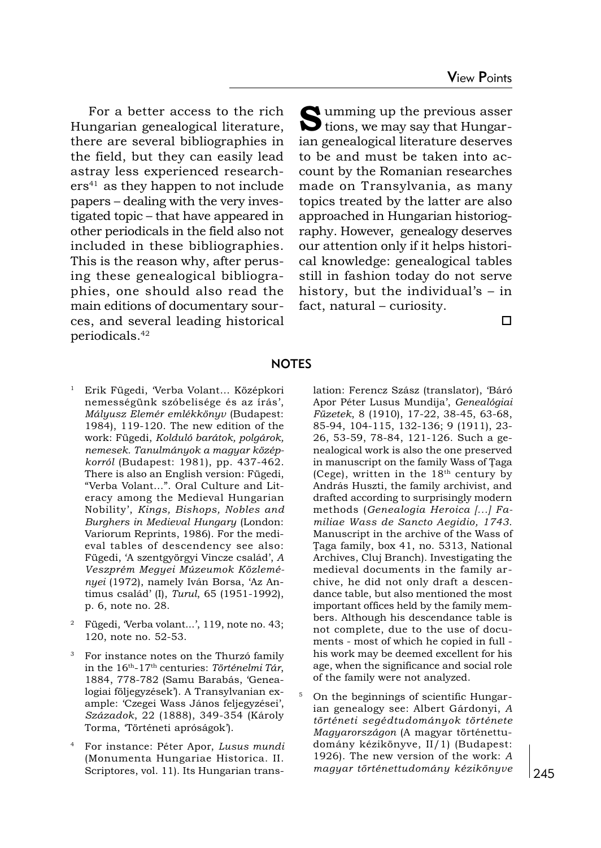For a better access to the rich Hungarian genealogical literature, there are several bibliographies in the field, but they can easily lead astray less experienced research $ers<sup>41</sup>$  as they happen to not include papers dealing with the very investigated topic – that have appeared in other periodicals in the field also not included in these bibliographies. This is the reason why, after perusing these genealogical bibliographies, one should also read the main editions of documentary sources, and several leading historical periodicals.42

 $\sum$  umming up the previous asser<br>tions, we may say that Hungarian genealogical literature deserves to be and must be taken into account by the Romanian researches made on Transylvania, as many topics treated by the latter are also approached in Hungarian historiography. However, genealogy deserves our attention only if it helps historical knowledge: genealogical tables still in fashion today do not serve history, but the individual's  $-$  in  $fact, natural-curiosity.$ 

 $\Box$ 

## **NOTES**

- Erik Fügedi, Verba Volant... Középkori nemességünk szóbelisége és az írás', Mályusz Elemér emlékkönyv (Budapest: 1984), 119-120. The new edition of the work: Fügedi, Kolduló barátok, polgárok, nemesek. Tanulmányok a magyar középkorról (Budapest: 1981), pp. 437-462. There is also an English version: Fügedi, "Verba Volant...". Oral Culture and Literacy among the Medieval Hungarian Nobility, Kings, Bishops, Nobles and Burghers in Medieval Hungary (London: Variorum Reprints, 1986). For the medieval tables of descendency see also: Fügedi, 'A szentgyörgyi Vincze család', A Veszprém Megyei Múzeumok Közleményei (1972), namely Iván Borsa, 'Az Antimus család' (I), Turul, 65 (1951-1992), p. 6, note no. 28.
- <sup>2</sup> Fügedi, Verba volant...', 119, note no. 43; 120, note no. 52-53.
- <sup>3</sup> For instance notes on the Thurzó family in the 16<sup>th</sup>-17<sup>th</sup> centuries: Történelmi Tár, 1884, 778-782 (Samu Barabás, Genealogiai följegyzések). A Transylvanian example: Czegei Wass János feljegyzései, Századok, 22 (1888), 349-354 (Károly Torma, Történeti apróságok).
- <sup>4</sup> For instance: Péter Apor, Lusus mundi (Monumenta Hungariae Historica. II. Scriptores, vol. 11). Its Hungarian trans-

lation: Ferencz Szász (translator), Báró Apor Péter Lusus Mundija', Genealógiai Füzetek, 8 (1910), 17-22, 38-45, 63-68, 85-94, 104-115, 132-136; 9 (1911), 23- 26, 53-59, 78-84, 121-126. Such a genealogical work is also the one preserved in manuscript on the family Wass of Taga (Cege), written in the  $18<sup>th</sup>$  century by András Huszti, the family archivist, and drafted according to surprisingly modern methods (Genealogia Heroica [...] Familiae Wass de Sancto Aegidio, 1743. Manuscript in the archive of the Wass of Taga family, box 41, no. 5313, National Archives, Cluj Branch). Investigating the medieval documents in the family archive, he did not only draft a descendance table, but also mentioned the most important offices held by the family members. Although his descendance table is not complete, due to the use of documents - most of which he copied in full his work may be deemed excellent for his age, when the significance and social role of the family were not analyzed.

<sup>5</sup> On the beginnings of scientific Hungarian genealogy see: Albert Gárdonyi, A történeti segédtudományok története Magyarországon (A magyar történettudomány kézikönyve, II/1) (Budapest: 1926). The new version of the work: A magyar történettudomány kézikönyve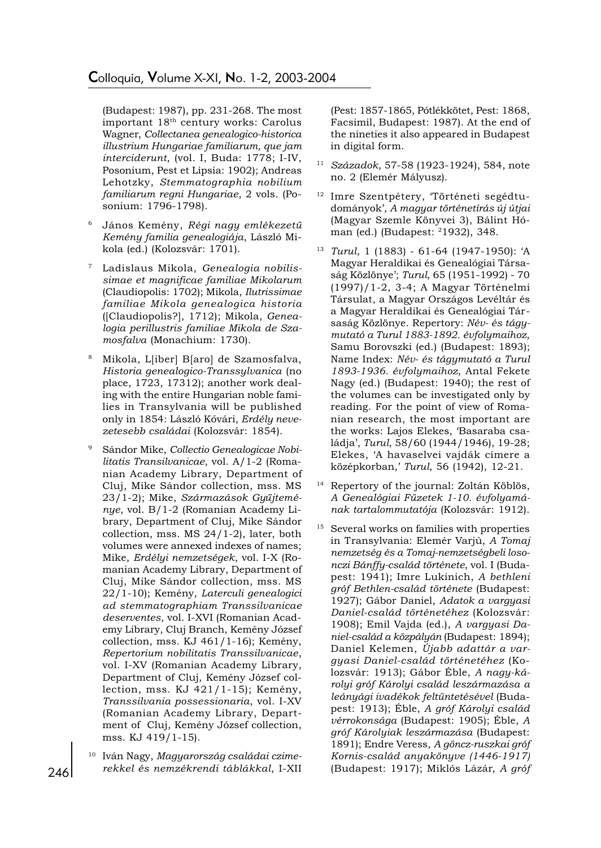(Budapest: 1987), pp. 231-268. The most important 18th century works: Carolus Wagner, Collectanea genealogico-historica illustrium Hungariae familiarum, que jam interciderunt, (vol. I, Buda: 1778; I-IV, Posonium, Pest et Lipsia: 1902); Andreas Lehotzky, Stemmatographia nobilium familiarum regni Hungariae, 2 vols. (Posonium: 1796-1798).

- János Kemény, Régi nagy emlékezetü Kemény familia genealogiája, László Mikola (ed.) (Kolozsvár: 1701).
- Ladislaus Mikola, Genealogia nobilissimae et magnificae familiae Mikolarum (Claudiopolis: 1702); Mikola, Ilutrissimae familiae Mikola genealogica historia ([Claudiopolis?], 1712); Mikola, Genealogia perillustris familiae Mikola de Szamosfalva (Monachium: 1730).
- <sup>8</sup> Mikola, L[iber] B[aro] de Szamosfalva, Historia genealogico-Transsylvanica (no place, 1723, 17312); another work dealing with the entire Hungarian noble families in Transylvania will be published only in 1854: László Køvári, Erdély nevezetesebb családai (Kolozsvár: 1854).
- Sándor Mike, Collectio Genealogicae Nobilitatis Transilvanicae, vol. A/1-2 (Romanian Academy Library, Department of Cluj, Mike Sándor collection, mss. MS 23/1-2); Mike, Származások Gyűjteménye, vol. B/1-2 (Romanian Academy Library, Department of Cluj, Mike Sándor collection, mss. MS 24/1-2), later, both volumes were annexed indexes of names; Mike, Erdélyi nemzetségek, vol. I-X (Romanian Academy Library, Department of Cluj, Mike Sándor collection, mss. MS 22/1-10); Kemény, Laterculi genealogici ad stemmatographiam Transsilvanicae deserventes, vol. I-XVI (Romanian Academy Library, Cluj Branch, Kemény József collection, mss. KJ 461/1-16); Kemény, Repertorium nobilitatis Transsilvanicae, vol. I-XV (Romanian Academy Library, Department of Cluj, Kemény József collection, mss. KJ 421/1-15); Kemény, Transsilvania possessionaria, vol. I-XV (Romanian Academy Library, Department of Cluj, Kemény József collection, mss. KJ 419/1-15).
- Iván Nagy, Magyarország családai czimerekkel és nemzékrendi táblákkal, I-XII

(Pest: 1857-1865, Pótlékkötet, Pest: 1868, Facsimil, Budapest: 1987). At the end of the nineties it also appeared in Budapest in digital form.

- <sup>11</sup> Századok, 57-58 (1923-1924), 584, note no. 2 (Elemér Mályusz).
- Imre Szentpétery, Történeti segédtudományok, A magyar történetírás új útjai (Magyar Szemle Könyvei 3), Bálint Hóman (ed.) (Budapest: 21932), 348.
- <sup>13</sup> Turul, 1 (1883) 61-64 (1947-1950): A Magyar Heraldikai és Genealógiai Társaság Közlönye'; Turul, 65 (1951-1992) - 70 (1997)/1-2, 3-4; A Magyar Történelmi Társulat, a Magyar Országos Levéltár és a Magyar Heraldikai és Genealógiai Társaság Közlönye. Repertory: Név- és tágymutató a Turul 1883-1892. évfolymaihoz, Samu Borovszki (ed.) (Budapest: 1893); Name Index: Név- és tágymutató a Turul 1893-1936. évfolymaihoz, Antal Fekete Nagy (ed.) (Budapest: 1940); the rest of the volumes can be investigated only by reading. For the point of view of Romanian research, the most important are the works: Lajos Elekes, Basaraba családja', Turul, 58/60 (1944/1946), 19-28; Elekes, A havaselvei vajdák címere a középkorban,' Turul, 56 (1942), 12-21.
- <sup>14</sup> Repertory of the journal: Zoltán Köblös, A Genealógiai Füzetek 1-10. évfolyamának tartalommutatója (Kolozsvár: 1912).
- <sup>15</sup> Several works on families with properties in Transylvania: Elemér Varjú, A Tomaj nemzetség és a Tomaj-nemzetségbeli losonczi Bánffy-család története, vol. I (Budapest: 1941); Imre Lukinich, A bethleni gróf Bethlen-család története (Budapest: 1927); Gábor Daniel, Adatok a vargyasi Daniel-család történetéhez (Kolozsvár: 1908); Emil Vajda (ed.), A vargyasi Daniel-család a közpályán (Budapest: 1894); Daniel Kelemen, Újabb adattár a vargyasi Daniel-család történetéhez (Kolozsvár: 1913); Gábor Éble, A nagy-károlyi gróf Károlyi család leszármazása a leányági ivadékok feltüntetésével (Budapest: 1913); Éble, A gróf Károlyi család vérrokonsága (Budapest: 1905); Éble, A gróf Károlyiak leszármazása (Budapest: 1891); Endre Veress, A göncz-ruszkai gróf Kornis-család anyakönyve (1446-1917) (Budapest: 1917); Miklós Lázár, A gróf

246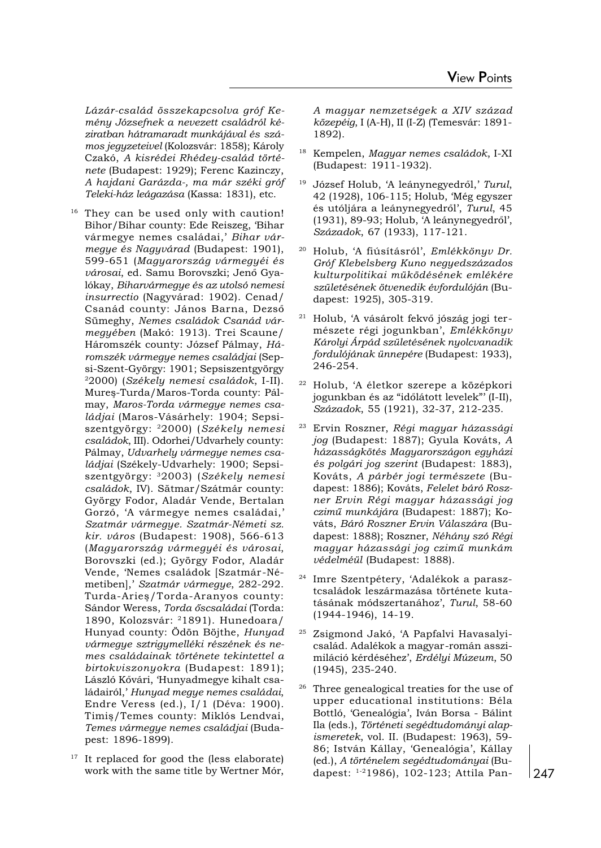Lázár-család összekapcsolva gróf Kemény Józsefnek a nevezett családról kéziratban hátramaradt munkájával és számos jegyzeteivel (Kolozsvár: 1858); Károly Czakó, A kisrédei Rhédey-család története (Budapest: 1929); Ferenc Kazinczy, A hajdani Garázda-, ma már széki gróf Teleki-ház leágazása (Kassa: 1831), etc.

- <sup>16</sup> They can be used only with caution! Bihor/Bihar county: Ede Reiszeg, 'Bihar vármegye nemes családai,' Bihar vármegye és Nagyvárad (Budapest: 1901), 599-651 (Magyarország vármegyéi és városai, ed. Samu Borovszki; Jenø Gyalókay, Biharvármegye és az utolsó nemesi insurrectio (Nagyvárad: 1902). Cenad/ Csanád county: János Barna, Dezsø Sümeghy, Nemes családok Csanád vármegyében (Makó: 1913). Trei Scaune/ Háromszék county: József Pálmay, Háromszék vármegye nemes családjai (Sepsi-Szent-György: 1901; Sepsiszentgyörgy 22000) (Székely nemesi családok, I-II). Mures-Turda/Maros-Torda county: Pálmay, Maros-Torda vármegye nemes családjai (Maros-Vásárhely: 1904; Sepsiszentgyörgy: 22000) (Székely nemesi családok, III). Odorhei/Udvarhely county: Pálmay, Udvarhely vármegye nemes családjai (Székely-Udvarhely: 1900; Sepsiszentgyörgy: 32003) (Székely nemesi családok, IV). Sãtmar/Szátmár county: György Fodor, Aladár Vende, Bertalan Gorzó, 'A vármegye nemes családai,' Szatmár vármegye. Szatmár-Németi sz. kir. város (Budapest: 1908), 566-613 (Magyarország vármegyéi és városai, Borovszki (ed.); György Fodor, Aladár Vende, Nemes családok [Szatmár -Németiben],' Szatmár vármegye, 282-292. Turda-Aries/Torda-Aranyos county: Sándor Weress, Torda őscsaládai (Torda: 1890, Kolozsvár: 21891). Hunedoara/ Hunyad county: Ödön Böjthe, Hunyad vármegye sztrigymelléki részének és nemes családainak története tekintettel a birtokviszonyokra (Budapest: 1891); László Køvári, Hunyadmegye kihalt családairól,' Hunyad megye nemes családai, Endre Veress (ed.), I/1 (Déva: 1900). Timiş/Temes county: Miklós Lendvai, Temes vármegye nemes családjai (Budapest: 1896-1899).
- $17$  It replaced for good the (less elaborate) work with the same title by Wertner Mór,

A magyar nemzetségek a XIV század közepéig, I (A-H), II (I-Z) (Temesvár: 1891- 1892).

- <sup>18</sup> Kempelen, Magyar nemes családok, I-XI (Budapest: 1911-1932).
- $19$  József Holub, 'A leánynegyedről,' Turul, 42 (1928), 106-115; Holub, Még egyszer és utóljára a leánynegyedrøl, Turul, 45 (1931), 89-93; Holub, 'A leánynegyedről', Századok, 67 (1933), 117-121.
- <sup>20</sup> Holub, 'A fiúsításról', Emlékkönyv Dr. Gróf Klebelsberg Kuno negyedszázados kulturpolitikai müködésének emlékére születésének ötvenedik évfordulóján (Budapest: 1925), 305-319.
- Holub, 'A vásárolt fekvő jószág jogi természete régi jogunkban', Emlékkönyv Károlyi Árpád születésének nyolcvanadik fordulójának ünnepére (Budapest: 1933), 246-254.
- <sup>22</sup> Holub, A életkor szerepe a középkori jogunkban és az "időlátott levelek"' (I-II), Századok, 55 (1921), 32-37, 212-235.
- <sup>23</sup> Ervin Roszner, Régi magyar házassági jog (Budapest: 1887); Gyula Kováts, A házasságkötés Magyarországon egyházi és polgári jog szerint (Budapest: 1883), Kováts, A párbér jogi természete (Budapest: 1886); Kováts, Felelet báró Roszner Ervin Régi magyar házassági jog czimű munkájára (Budapest: 1887); Kováts, Báró Roszner Ervin Válaszára (Budapest: 1888); Roszner, Néhány szó Régi magyar házassági jog czimű munkám védelméül (Budapest: 1888).
- <sup>24</sup> Imre Szentpétery, Adalékok a parasztcsaládok leszármazása története kutatásának módszertanához, Turul, 58-60 (1944-1946), 14-19.
- <sup>25</sup> Zsigmond Jakó, 'A Papfalvi Havasalyicsalád. Adalékok a magyar-román asszimiláció kérdéséhez, Erdélyi Múzeum, 50 (1945), 235-240.
- Three genealogical treaties for the use of upper educational institutions: Béla Bottló, Genealógia, Iván Borsa - Bálint Ila (eds.), Történeti segédtudományi alapismeretek, vol. II. (Budapest: 1963), 59- 86; István Kállay, Genealógia, Kállay (ed.), A történelem segédtudományai (Budapest: 1-21986), 102-123; Attila Pan-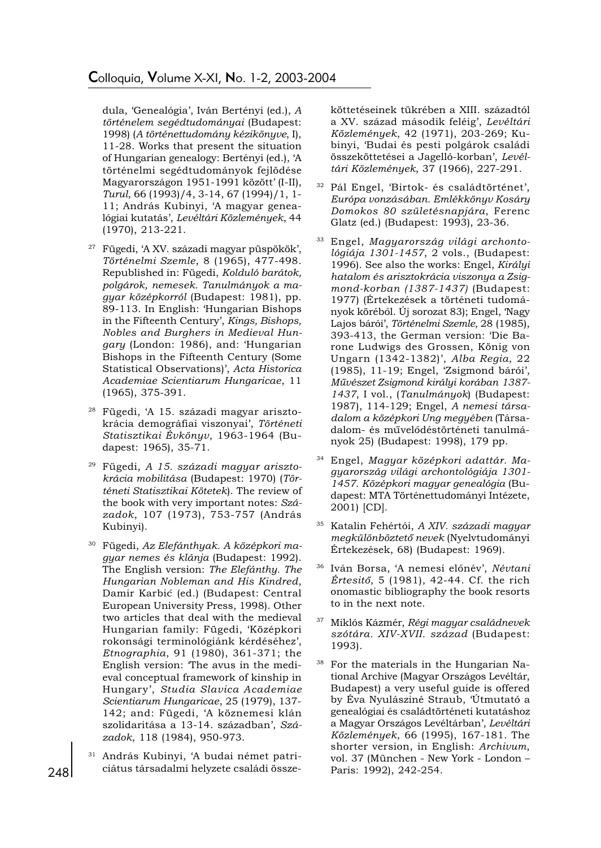dula, Genealógia, Iván Bertényi (ed.), A történelem segédtudományai (Budapest: 1998) (A történettudomány kézikönyve, I), 11-28. Works that present the situation of Hungarian genealogy: Bertényi (ed.), 'A történelmi segédtudományok fejlõdése Magyarországon 1951-1991 között' (I-II), Turul, 66 (1993)/4, 3-14, 67 (1994)/1, 1- 11; András Kubinyi, A magyar genealógiai kutatás', Levéltári Közlemények, 44 (1970), 213-221.

- <sup>27</sup> Fügedi, 'A XV. századi magyar püspökök', Történelmi Szemle, 8 (1965), 477-498. Republished in: Fügedi, Kolduló barátok, polgárok, nemesek. Tanulmányok a magyar középkorról (Budapest: 1981), pp. 89-113. In English: Hungarian Bishops in the Fifteenth Century, Kings, Bishops, Nobles and Burghers in Medieval Hungary (London: 1986), and: Hungarian Bishops in the Fifteenth Century (Some Statistical Observations), Acta Historica Academiae Scientiarum Hungaricae, 11 (1965), 375-391.
- <sup>28</sup> Fügedi, 'A 15. századi magyar arisztokrácia demográfiai viszonyai, Történeti Statisztikai Évkönyv, 1963-1964 (Budapest: 1965), 35-71.
- <sup>29</sup> Fügedi, A 15. századi magyar arisztokrácia mobilitása (Budapest: 1970) (Történeti Statisztikai Kötetek). The review of the book with very important notes: Századok, 107 (1973), 753-757 (András Kubinyi).
- $30$  Fügedi, Az Elefánthyak. A középkori magyar nemes és klánja (Budapest: 1992). The English version: The Elefánthy. The Hungarian Nobleman and His Kindred, Damir Karbić (ed.) (Budapest: Central European University Press, 1998). Other two articles that deal with the medieval Hungarian family: Fügedi, Középkori rokonsági terminológiánk kérdéséhez, Etnographia, 91 (1980), 361-371; the English version: The avus in the medieval conceptual framework of kinship in Hungary, Studia Slavica Academiae Scientiarum Hungaricae, 25 (1979), 137- 142; and: Fügedi, 'A köznemesi klán szolidaritása a 13-14. században', Századok, 118 (1984), 950-973.
- <sup>31</sup> András Kubinyi, A budai német patriciátus társadalmi helyzete családi össze-

köttetéseinek tükrében a XIII. századtól a XV. század második feléig', Levéltári Közlemények, 42 (1971), 203-269; Kubinyi, Budai és pesti polgárok családi összeköttetései a Jagelló-korban', Levéltári Közlemények, 37 (1966), 227-291.

- 32 Pál Engel, 'Birtok- és családtörténet', Európa vonzásában. Emlékkönyv Kosáry Domokos 80 születésnapjára, Ferenc Glatz (ed.) (Budapest: 1993), 23-36.
- <sup>33</sup> Engel, Magyarország világi archontológiája 1301-1457, 2 vols., (Budapest: 1996). See also the works: Engel, Királyi hatalom és arisztokrácia viszonya a Zsigmond-korban (1387-1437) (Budapest: 1977) (Értekezések a történeti tudományok körébøl. Új sorozat 83); Engel, Nagy Lajos bárói, Történelmi Szemle, 28 (1985), 393-413, the German version: Die Barone Ludwigs des Grossen, König von Ungarn (1342-1382), Alba Regia, 22 (1985), 11-19; Engel, Zsigmond bárói, Művészet Zsigmond királyi korában 1387-1437, I vol., (Tanulmányok) (Budapest: 1987), 114-129; Engel, A nemesi társadalom a középkori Ung megyében (Társadalom- és művelődéstörténeti tanulmányok 25) (Budapest: 1998), 179 pp.
- <sup>34</sup> Engel, Magyar középkori adattár. Magyarország világi archontológiája 1301- 1457. Középkori magyar genealógia (Budapest: MTA Történettudományi Intézete, 2001) [CD].
- <sup>35</sup> Katalin Fehértói, A XIV. századi magyar megkülönböztetø nevek (Nyelvtudományi Értekezések, 68) (Budapest: 1969).
- 36 Iván Borsa, 'A nemesi előnév', Névtani Értesitø, 5 (1981), 42-44. Cf. the rich onomastic bibliography the book resorts to in the next note.
- <sup>37</sup> Miklós Kázmér, Régi magyar családnevek szótára. XIV-XVII. század (Budapest: 1993).
- <sup>38</sup> For the materials in the Hungarian National Archive (Magyar Országos Levéltár, Budapest) a very useful guide is offered by Éva Nyulásziné Straub, Útmutató a genealógiai és családtörténeti kutatáshoz a Magyar Országos Levéltárban', Levéltári Közlemények, 66 (1995), 167-181. The shorter version, in English: Archivum, vol. 37 (München - New York - London Paris: 1992), 242-254.

248